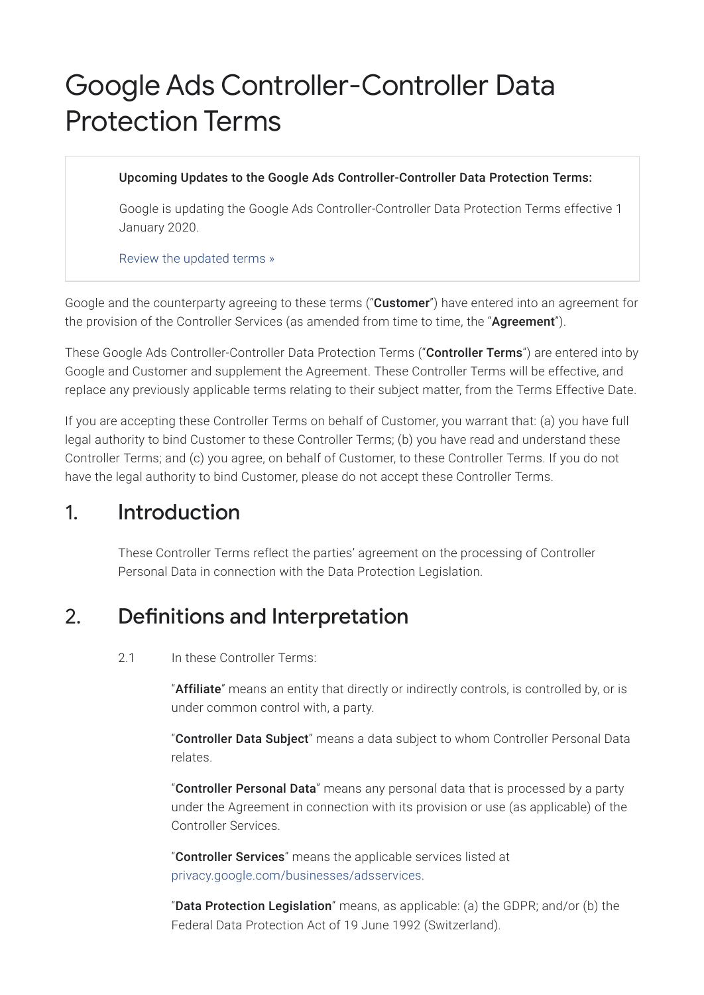# Google Ads Controller-Controller Data Protection Terms

#### Upcoming Updates to the Google Ads Controller-Controller Data Protection Terms:

Google is updating the Google Ads Controller-Controller Data Protection Terms effective 1 January 2020.

Review the [updated](https://privacy.google.com/businesses/ccpatermsupdates) terms »

Google and the counterparty agreeing to these terms ("Customer") have entered into an agreement for the provision of the Controller Services (as amended from time to time, the "Agreement").

These Google Ads Controller-Controller Data Protection Terms ("Controller Terms") are entered into by Google and Customer and supplement the Agreement. These Controller Terms will be effective, and replace any previously applicable terms relating to their subject matter, from the Terms Effective Date.

If you are accepting these Controller Terms on behalf of Customer, you warrant that: (a) you have full legal authority to bind Customer to these Controller Terms; (b) you have read and understand these Controller Terms; and (c) you agree, on behalf of Customer, to these Controller Terms. If you do not have the legal authority to bind Customer, please do not accept these Controller Terms.

### 1. Introduction

These Controller Terms reflect the parties' agreement on the processing of Controller Personal Data in connection with the Data Protection Legislation.

## 2. Definitions and Interpretation

#### 2.1 In these Controller Terms:

"Affiliate" means an entity that directly or indirectly controls, is controlled by, or is under common control with, a party.

"Controller Data Subject" means a data subject to whom Controller Personal Data relates.

"Controller Personal Data" means any personal data that is processed by a party under the Agreement in connection with its provision or use (as applicable) of the Controller Services.

"Controller Services" means the applicable services listed at [privacy.google.com/businesses/adsservices](https://privacy.google.com/businesses/adsservices/).

"Data Protection Legislation" means, as applicable: (a) the GDPR; and/or (b) the Federal Data Protection Act of 19 June 1992 (Switzerland).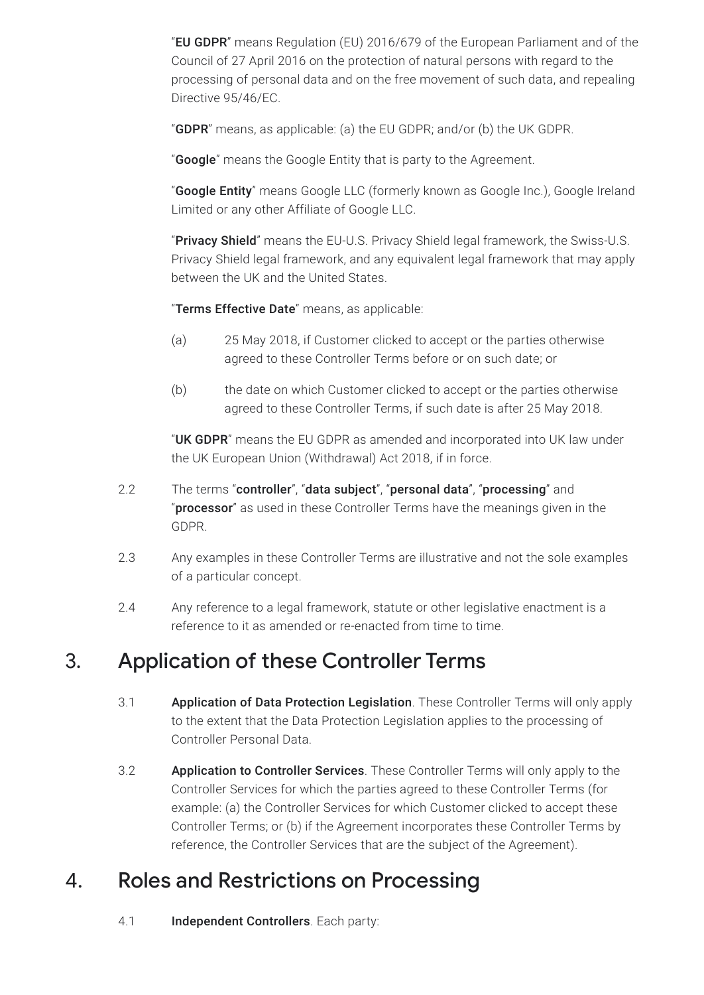"EU GDPR" means Regulation (EU) 2016/679 of the European Parliament and of the Council of 27 April 2016 on the protection of natural persons with regard to the processing of personal data and on the free movement of such data, and repealing Directive 95/46/EC.

"GDPR" means, as applicable: (a) the EU GDPR; and/or (b) the UK GDPR.

"Google" means the Google Entity that is party to the Agreement.

"Google Entity" means Google LLC (formerly known as Google Inc.), Google Ireland Limited or any other Affiliate of Google LLC.

"Privacy Shield" means the EU-U.S. Privacy Shield legal framework, the Swiss-U.S. Privacy Shield legal framework, and any equivalent legal framework that may apply between the UK and the United States.

"Terms Effective Date" means, as applicable:

- (a) 25 May 2018, if Customer clicked to accept or the parties otherwise agreed to these Controller Terms before or on such date; or
- (b) the date on which Customer clicked to accept or the parties otherwise agreed to these Controller Terms, if such date is after 25 May 2018.

"UK GDPR" means the EU GDPR as amended and incorporated into UK law under the UK European Union (Withdrawal) Act 2018, if in force.

- 2.2 The terms "controller", "data subject", "personal data", "processing" and "processor" as used in these Controller Terms have the meanings given in the GDPR.
- 2.3 Any examples in these Controller Terms are illustrative and not the sole examples of a particular concept.
- 2.4 Any reference to a legal framework, statute or other legislative enactment is a reference to it as amended or re-enacted from time to time.

### 3. Application of these Controller Terms

- 3.1 Application of Data Protection Legislation. These Controller Terms will only apply to the extent that the Data Protection Legislation applies to the processing of Controller Personal Data.
- 3.2 **Application to Controller Services**. These Controller Terms will only apply to the Controller Services for which the parties agreed to these Controller Terms (for example: (a) the Controller Services for which Customer clicked to accept these Controller Terms; or (b) if the Agreement incorporates these Controller Terms by reference, the Controller Services that are the subject of the Agreement).

### 4. Roles and Restrictions on Processing

4.1 **Independent Controllers**. Each party: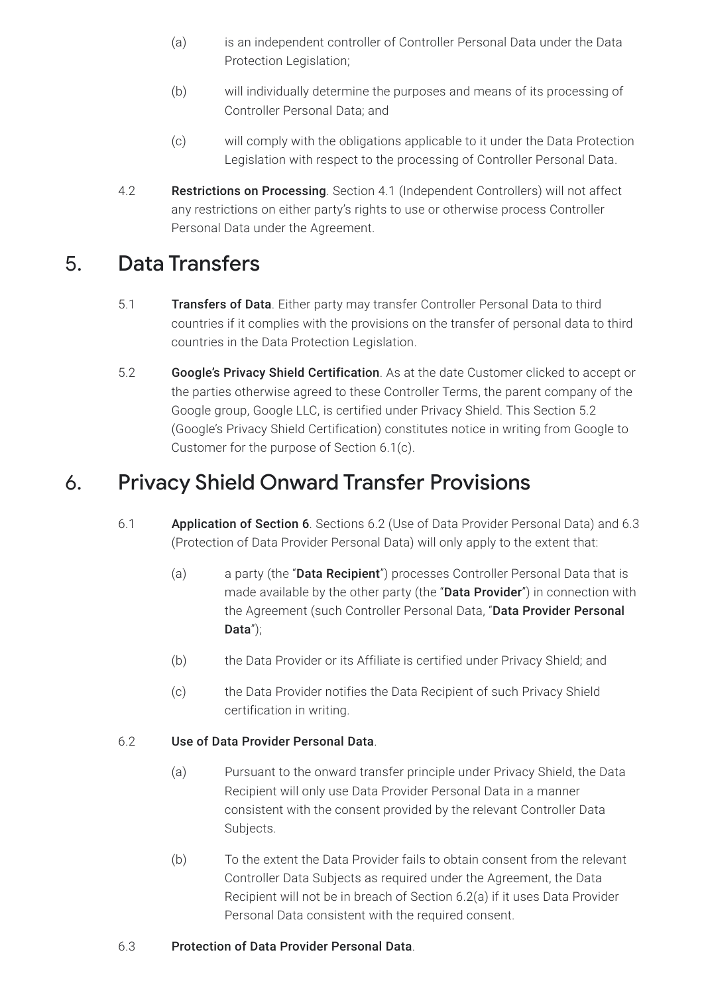- (a) is an independent controller of Controller Personal Data under the Data Protection Legislation;
- (b) will individually determine the purposes and means of its processing of Controller Personal Data; and
- (c) will comply with the obligations applicable to it under the Data Protection Legislation with respect to the processing of Controller Personal Data.
- 4.2 Restrictions on Processing. Section 4.1 (Independent Controllers) will not affect any restrictions on either party's rights to use or otherwise process Controller Personal Data under the Agreement.

# 5. Data Transfers

- 5.1 Transfers of Data. Either party may transfer Controller Personal Data to third countries if it complies with the provisions on the transfer of personal data to third countries in the Data Protection Legislation.
- 5.2 Google's Privacy Shield Certification. As at the date Customer clicked to accept or the parties otherwise agreed to these Controller Terms, the parent company of the Google group, Google LLC, is certified under Privacy Shield. This Section 5.2 (Google's Privacy Shield Certification) constitutes notice in writing from Google to Customer for the purpose of Section 6.1(c).

# 6. Privacy Shield Onward Transfer Provisions

- 6.1 Application of Section 6. Sections 6.2 (Use of Data Provider Personal Data) and 6.3 (Protection of Data Provider Personal Data) will only apply to the extent that:
	- (a) a party (the "**Data Recipient**") processes Controller Personal Data that is made available by the other party (the "Data Provider") in connection with the Agreement (such Controller Personal Data, "Data Provider Personal Data");
	- (b) the Data Provider or its Affiliate is certified under Privacy Shield; and
	- (c) the Data Provider notifies the Data Recipient of such Privacy Shield certification in writing.

#### 6.2 Use of Data Provider Personal Data.

- (a) Pursuant to the onward transfer principle under Privacy Shield, the Data Recipient will only use Data Provider Personal Data in a manner consistent with the consent provided by the relevant Controller Data Subjects.
- (b) To the extent the Data Provider fails to obtain consent from the relevant Controller Data Subjects as required under the Agreement, the Data Recipient will not be in breach of Section 6.2(a) if it uses Data Provider Personal Data consistent with the required consent.

#### 6.3 Protection of Data Provider Personal Data.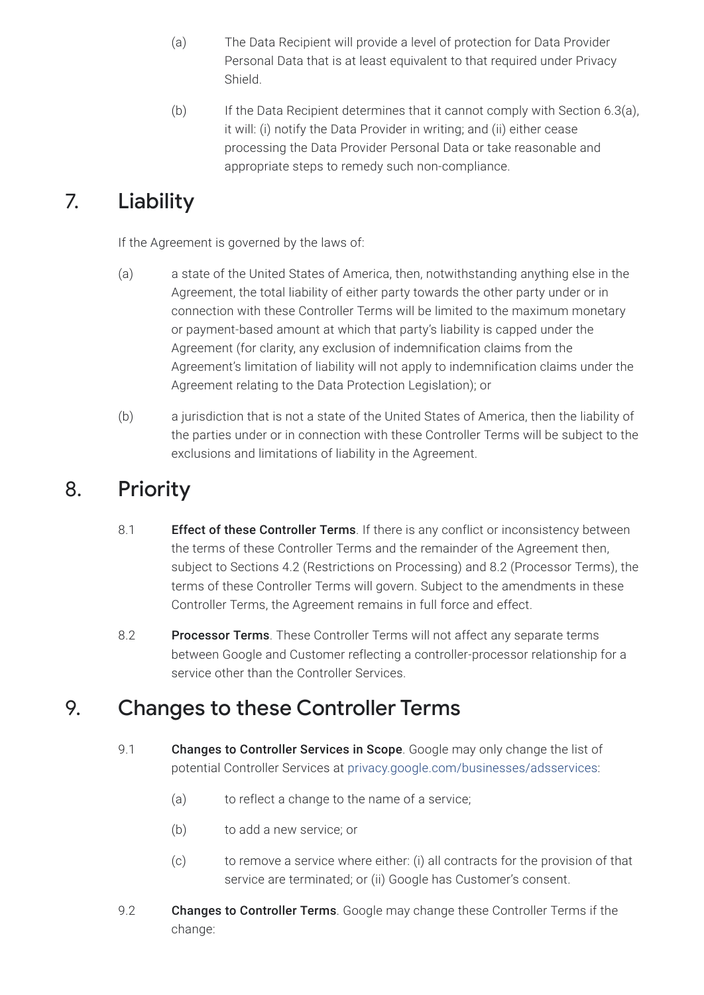- (a) The Data Recipient will provide a level of protection for Data Provider Personal Data that is at least equivalent to that required under Privacy Shield.
- (b) If the Data Recipient determines that it cannot comply with Section 6.3(a), it will: (i) notify the Data Provider in writing; and (ii) either cease processing the Data Provider Personal Data or take reasonable and appropriate steps to remedy such non-compliance.

# 7. Liability

If the Agreement is governed by the laws of:

- (a) a state of the United States of America, then, notwithstanding anything else in the Agreement, the total liability of either party towards the other party under or in connection with these Controller Terms will be limited to the maximum monetary or payment-based amount at which that party's liability is capped under the Agreement (for clarity, any exclusion of indemnification claims from the Agreement's limitation of liability will not apply to indemnification claims under the Agreement relating to the Data Protection Legislation); or
- (b) a jurisdiction that is not a state of the United States of America, then the liability of the parties under or in connection with these Controller Terms will be subject to the exclusions and limitations of liability in the Agreement.

## 8. Priority

- 8.1 **Effect of these Controller Terms**. If there is any conflict or inconsistency between the terms of these Controller Terms and the remainder of the Agreement then, subject to Sections 4.2 (Restrictions on Processing) and 8.2 (Processor Terms), the terms of these Controller Terms will govern. Subject to the amendments in these Controller Terms, the Agreement remains in full force and effect.
- 8.2 Processor Terms. These Controller Terms will not affect any separate terms between Google and Customer reflecting a controller-processor relationship for a service other than the Controller Services.

### 9. Changes to these Controller Terms

- 9.1 **Changes to Controller Services in Scope**. Google may only change the list of potential Controller Services at [privacy.google.com/businesses/adsservices:](https://privacy.google.com/businesses/adsservices/)
	- (a) to reflect a change to the name of a service;
	- (b) to add a new service; or
	- (c) to remove a service where either: (i) all contracts for the provision of that service are terminated; or (ii) Google has Customer's consent.
- 9.2 **Changes to Controller Terms**. Google may change these Controller Terms if the change: